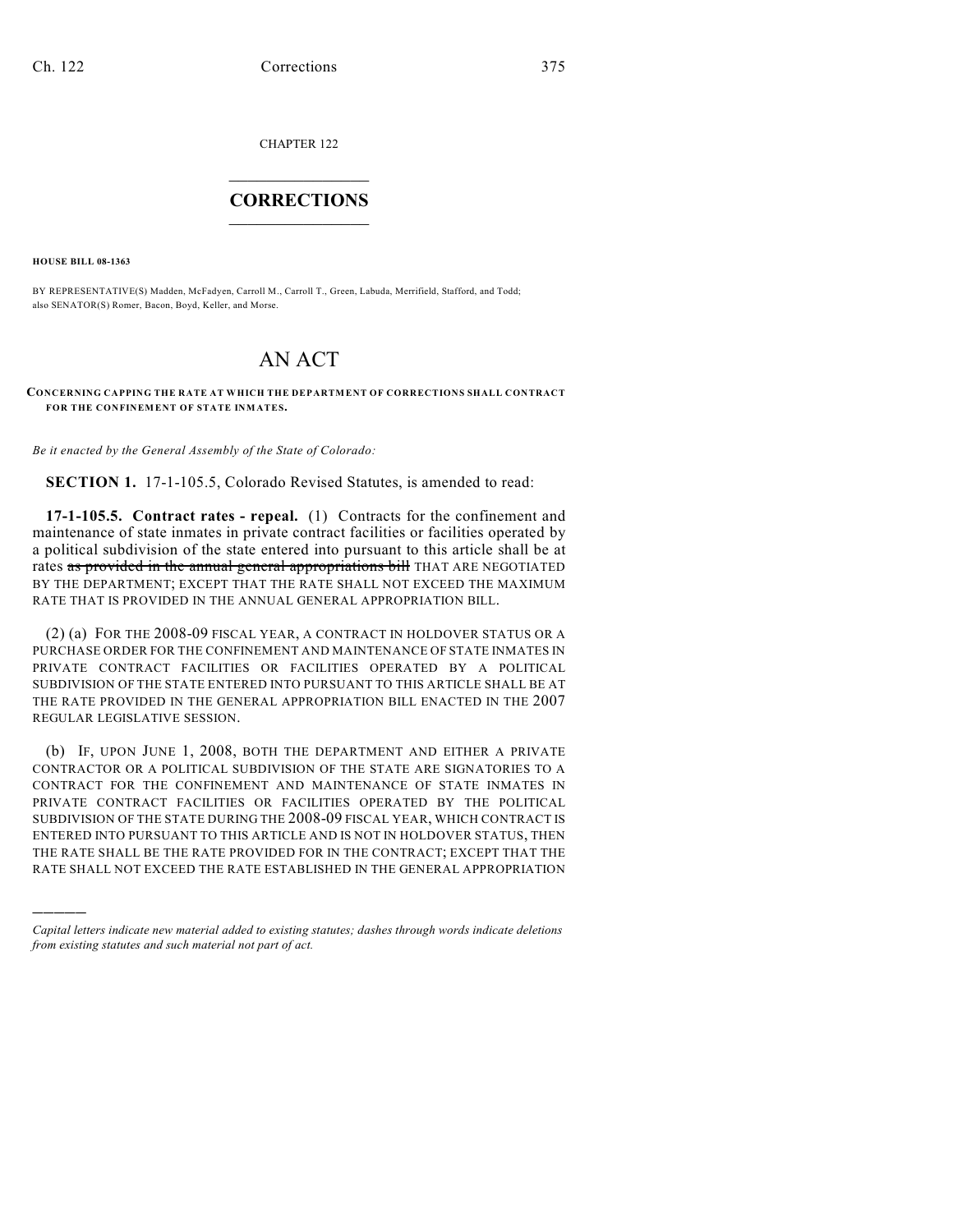CHAPTER 122

## $\overline{\phantom{a}}$  . The set of the set of the set of the set of the set of the set of the set of the set of the set of the set of the set of the set of the set of the set of the set of the set of the set of the set of the set o **CORRECTIONS**  $\frac{1}{2}$  ,  $\frac{1}{2}$  ,  $\frac{1}{2}$  ,  $\frac{1}{2}$  ,  $\frac{1}{2}$  ,  $\frac{1}{2}$

**HOUSE BILL 08-1363**

)))))

BY REPRESENTATIVE(S) Madden, McFadyen, Carroll M., Carroll T., Green, Labuda, Merrifield, Stafford, and Todd; also SENATOR(S) Romer, Bacon, Boyd, Keller, and Morse.

## AN ACT

## **CONCERNING CAPPING THE RATE AT WHICH THE DEPARTMENT OF CORRECTIONS SHALL CONTRACT FOR THE CONFINEMENT OF STATE INMATES.**

*Be it enacted by the General Assembly of the State of Colorado:*

**SECTION 1.** 17-1-105.5, Colorado Revised Statutes, is amended to read:

**17-1-105.5. Contract rates - repeal.** (1) Contracts for the confinement and maintenance of state inmates in private contract facilities or facilities operated by a political subdivision of the state entered into pursuant to this article shall be at rates as provided in the annual general appropriations bill THAT ARE NEGOTIATED BY THE DEPARTMENT; EXCEPT THAT THE RATE SHALL NOT EXCEED THE MAXIMUM RATE THAT IS PROVIDED IN THE ANNUAL GENERAL APPROPRIATION BILL.

(2) (a) FOR THE 2008-09 FISCAL YEAR, A CONTRACT IN HOLDOVER STATUS OR A PURCHASE ORDER FOR THE CONFINEMENT AND MAINTENANCE OF STATE INMATES IN PRIVATE CONTRACT FACILITIES OR FACILITIES OPERATED BY A POLITICAL SUBDIVISION OF THE STATE ENTERED INTO PURSUANT TO THIS ARTICLE SHALL BE AT THE RATE PROVIDED IN THE GENERAL APPROPRIATION BILL ENACTED IN THE 2007 REGULAR LEGISLATIVE SESSION.

(b) IF, UPON JUNE 1, 2008, BOTH THE DEPARTMENT AND EITHER A PRIVATE CONTRACTOR OR A POLITICAL SUBDIVISION OF THE STATE ARE SIGNATORIES TO A CONTRACT FOR THE CONFINEMENT AND MAINTENANCE OF STATE INMATES IN PRIVATE CONTRACT FACILITIES OR FACILITIES OPERATED BY THE POLITICAL SUBDIVISION OF THE STATE DURING THE 2008-09 FISCAL YEAR, WHICH CONTRACT IS ENTERED INTO PURSUANT TO THIS ARTICLE AND IS NOT IN HOLDOVER STATUS, THEN THE RATE SHALL BE THE RATE PROVIDED FOR IN THE CONTRACT; EXCEPT THAT THE RATE SHALL NOT EXCEED THE RATE ESTABLISHED IN THE GENERAL APPROPRIATION

*Capital letters indicate new material added to existing statutes; dashes through words indicate deletions from existing statutes and such material not part of act.*